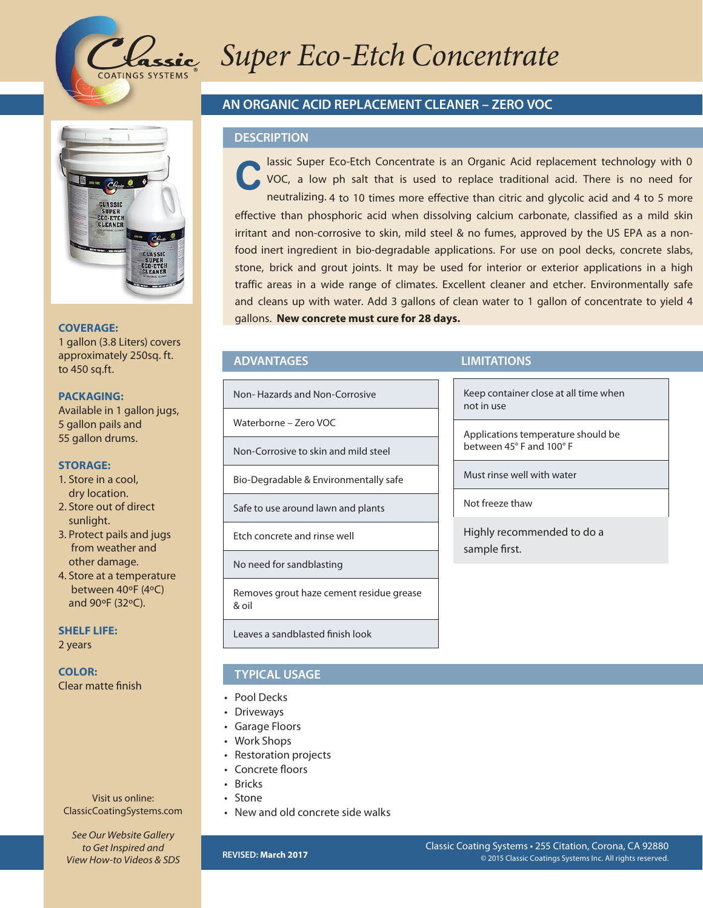

# **Lassic Super Eco-Etch Concentrate**



#### **COVERAGE:**

1 gallon (3.8 Liters) covers approximately 250sq. ft. to 450 sq.ft.

#### **PACKAGING:**

Available in 1 gallon jugs, 5 gallon pails and 55 gallon drums.

#### **STORAGE:**

- 1. Store in a cool, dry location.
- 2. Store out of direct sunlight.
- 3. Protect pails and jugs from weather and other damage.
- 4. Store at a temperature between 40ºF (4ºC) and 90ºF (32ºC).

**SHELF LIFE:** 2 years

**COLOR:** Clear matte finish

Visit us online: ClassicCoatingSystems.com

*See Our Website Gallery to Get Inspired and View How-to Videos & SDS*

## **AN ORGANIC ACID REPLACEMENT CLEANER – ZERO VOC**

#### **DESCRIPTION**

lassic Super Eco-Etch Concentrate is an Organic Acid replacement technology with 0 VOC, a low ph salt that is used to replace traditional acid. There is no need for neutralizing. 4 to 10 times more effective than citric and glycolic acid and 4 to 5 more effective than phosphoric acid when dissolving calcium carbonate, classified as a mild skin irritant and non-corrosive to skin, mild steel & no fumes, approved by the US EPA as a nonfood inert ingredient in bio-degradable applications. For use on pool decks, concrete slabs, stone, brick and grout joints. It may be used for interior or exterior applications in a high traffic areas in a wide range of climates. Excellent cleaner and etcher. Environmentally safe and cleans up with water. Add 3 gallons of clean water to 1 gallon of concentrate to yield 4 gallons. **New concrete must cure for 28 days. C**

Non- Hazards and Non-Corrosive

Waterborne – Zero VOC

Non-Corrosive to skin and mild steel

Bio-Degradable & Environmentally safe

Safe to use around lawn and plants

Etch concrete and rinse well

No need for sandblasting

Removes grout haze cement residue grease & oil

Leaves a sandblasted finish look

# **TYPICAL USAGE**

- Pool Decks
- Driveways
- Garage Floors
- Work Shops
- Restoration projects
- Concrete floors
- Bricks
- Stone
- New and old concrete side walks

### **ADVANTAGES LIMITATIONS**

Keep container close at all time when not in use

Applications temperature should be between 45° F and 100° F

Must rinse well with water

Not freeze thaw

Highly recommended to do a sample first.